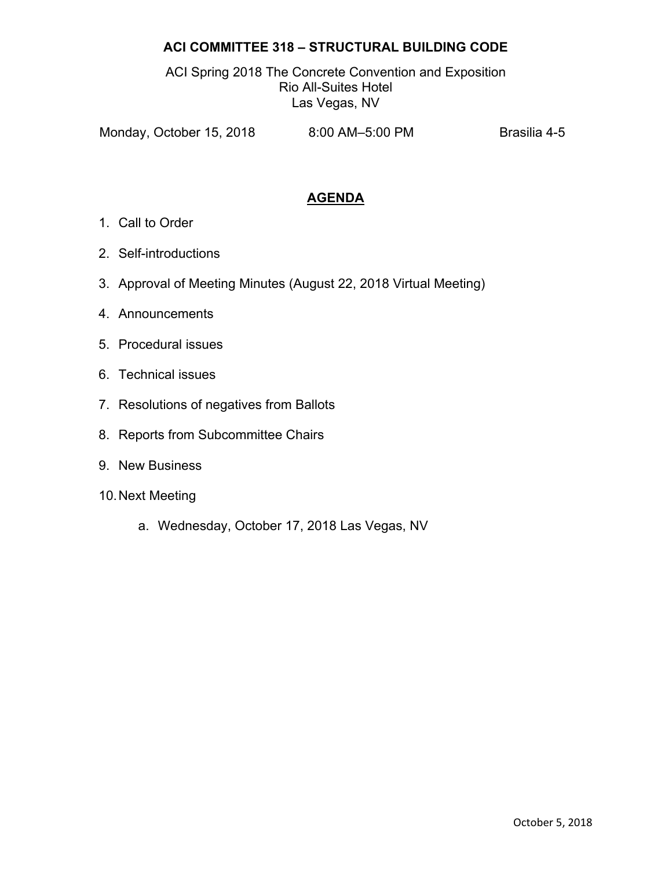## **ACI COMMITTEE 318 – STRUCTURAL BUILDING CODE**

ACI Spring 2018 The Concrete Convention and Exposition Rio All-Suites Hotel Las Vegas, NV

Monday, October 15, 2018 8:00 AM-5:00 PM Brasilia 4-5

## **AGENDA**

- 1. Call to Order
- 2. Self-introductions
- 3. Approval of Meeting Minutes (August 22, 2018 Virtual Meeting)
- 4. Announcements
- 5. Procedural issues
- 6. Technical issues
- 7. Resolutions of negatives from Ballots
- 8. Reports from Subcommittee Chairs
- 9. New Business
- 10. Next Meeting
	- a. Wednesday, October 17, 2018 Las Vegas, NV